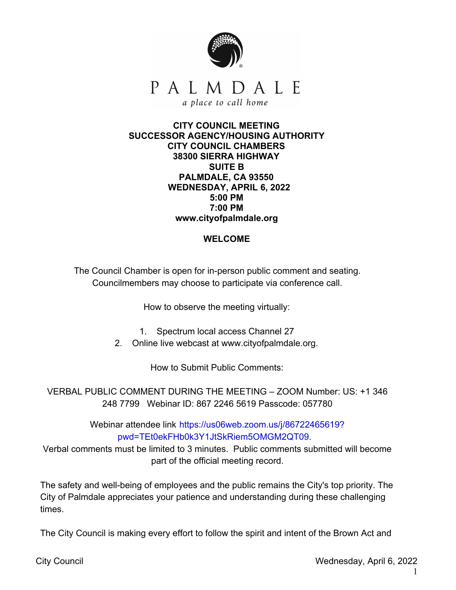

## **CITY COUNCIL MEETING SUCCESSOR AGENCY/HOUSING AUTHORITY CITY COUNCIL CHAMBERS 38300 SIERRA HIGHWAY SUITE B PALMDALE, CA 93550 WEDNESDAY, APRIL 6, 2022 5:00 PM 7:00 PM www.cityofpalmdale.org**

## **WELCOME**

The Council Chamber is open for in-person public comment and seating. Councilmembers may choose to participate via conference call.

How to observe the meeting virtually:

- 1. Spectrum local access Channel 27
- 2. Online live webcast at www.cityofpalmdale.org.

How to Submit Public Comments:

VERBAL PUBLIC COMMENT DURING THE MEETING – ZOOM Number: US: +1 346 248 7799 Webinar ID: 867 2246 5619 Passcode: 057780

> Webinar attendee link https://us06web.zoom.us/j/86722465619? [pwd=TEt0ekFHb0k3Y1JtSkRiem5OMGM2QT09.](https://us06web.zoom.us/j/86722465619?pwd=TEt0ekFHb0k3Y1JtSkRiem5OMGM2QT09)

Verbal comments must be limited to 3 minutes. Public comments submitted will become part of the official meeting record.

The safety and well-being of employees and the public remains the City's top priority. The City of Palmdale appreciates your patience and understanding during these challenging times.

The City Council is making every effort to follow the spirit and intent of the Brown Act and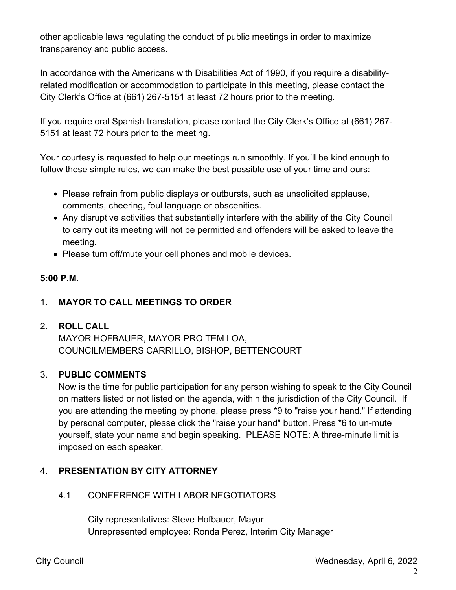other applicable laws regulating the conduct of public meetings in order to maximize transparency and public access.

In accordance with the Americans with Disabilities Act of 1990, if you require a disabilityrelated modification or accommodation to participate in this meeting, please contact the City Clerk's Office at (661) 267-5151 at least 72 hours prior to the meeting.

If you require oral Spanish translation, please contact the City Clerk's Office at (661) 267- 5151 at least 72 hours prior to the meeting.

Your courtesy is requested to help our meetings run smoothly. If you'll be kind enough to follow these simple rules, we can make the best possible use of your time and ours:

- Please refrain from public displays or outbursts, such as unsolicited applause, comments, cheering, foul language or obscenities.
- Any disruptive activities that substantially interfere with the ability of the City Council to carry out its meeting will not be permitted and offenders will be asked to leave the meeting.
- Please turn off/mute your cell phones and mobile devices.

# **5:00 P.M.**

# 1. **MAYOR TO CALL MEETINGS TO ORDER**

## 2. **ROLL CALL**

MAYOR HOFBAUER, MAYOR PRO TEM LOA, COUNCILMEMBERS CARRILLO, BISHOP, BETTENCOURT

## 3. **PUBLIC COMMENTS**

Now is the time for public participation for any person wishing to speak to the City Council on matters listed or not listed on the agenda, within the jurisdiction of the City Council. If you are attending the meeting by phone, please press \*9 to "raise your hand." If attending by personal computer, please click the "raise your hand" button. Press \*6 to un-mute yourself, state your name and begin speaking. PLEASE NOTE: A three-minute limit is imposed on each speaker.

# 4. **PRESENTATION BY CITY ATTORNEY**

## 4.1 CONFERENCE WITH LABOR NEGOTIATORS

City representatives: Steve Hofbauer, Mayor Unrepresented employee: Ronda Perez, Interim City Manager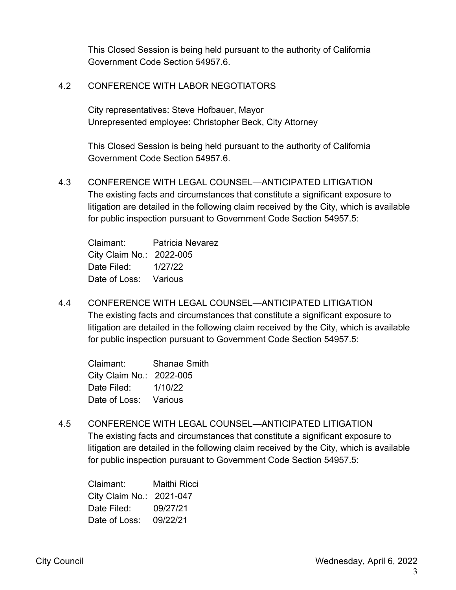This Closed Session is being held pursuant to the authority of California Government Code Section 54957.6.

## 4.2 CONFERENCE WITH LABOR NEGOTIATORS

City representatives: Steve Hofbauer, Mayor Unrepresented employee: Christopher Beck, City Attorney

This Closed Session is being held pursuant to the authority of California Government Code Section 54957.6.

4.3 CONFERENCE WITH LEGAL COUNSEL—ANTICIPATED LITIGATION The existing facts and circumstances that constitute a significant exposure to litigation are detailed in the following claim received by the City, which is available for public inspection pursuant to Government Code Section 54957.5:

Claimant: Patricia Nevarez City Claim No.: 2022-005 Date Filed: 1/27/22 Date of Loss: Various

4.4 CONFERENCE WITH LEGAL COUNSEL—ANTICIPATED LITIGATION The existing facts and circumstances that constitute a significant exposure to litigation are detailed in the following claim received by the City, which is available for public inspection pursuant to Government Code Section 54957.5:

| Claimant:                | Shanae Smith |
|--------------------------|--------------|
| City Claim No.: 2022-005 |              |
| Date Filed:              | 1/10/22      |
| Date of Loss:            | Various      |

4.5 CONFERENCE WITH LEGAL COUNSEL—ANTICIPATED LITIGATION The existing facts and circumstances that constitute a significant exposure to litigation are detailed in the following claim received by the City, which is available for public inspection pursuant to Government Code Section 54957.5:

| Claimant:                | Maithi Ricci |
|--------------------------|--------------|
| City Claim No.: 2021-047 |              |
| Date Filed:              | 09/27/21     |
| Date of Loss:            | 09/22/21     |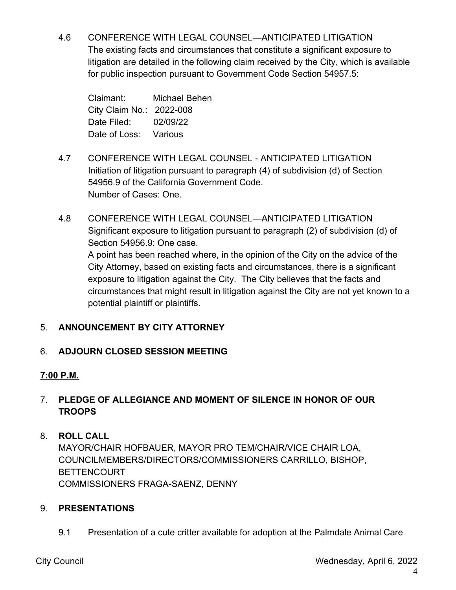4.6 CONFERENCE WITH LEGAL COUNSEL—ANTICIPATED LITIGATION The existing facts and circumstances that constitute a significant exposure to litigation are detailed in the following claim received by the City, which is available for public inspection pursuant to Government Code Section 54957.5:

Claimant: Michael Behen City Claim No.: 2022-008 Date Filed: 02/09/22 Date of Loss: Various

- 4.7 CONFERENCE WITH LEGAL COUNSEL ANTICIPATED LITIGATION Initiation of litigation pursuant to paragraph (4) of subdivision (d) of Section 54956.9 of the California Government Code. Number of Cases: One.
- 4.8 CONFERENCE WITH LEGAL COUNSEL—ANTICIPATED LITIGATION Significant exposure to litigation pursuant to paragraph (2) of subdivision (d) of Section 54956.9: One case.

A point has been reached where, in the opinion of the City on the advice of the City Attorney, based on existing facts and circumstances, there is a significant exposure to litigation against the City. The City believes that the facts and circumstances that might result in litigation against the City are not yet known to a potential plaintiff or plaintiffs.

# 5. **ANNOUNCEMENT BY CITY ATTORNEY**

# 6. **ADJOURN CLOSED SESSION MEETING**

# **7:00 P.M.**

# 7. **PLEDGE OF ALLEGIANCE AND MOMENT OF SILENCE IN HONOR OF OUR TROOPS**

# 8. **ROLL CALL**

MAYOR/CHAIR HOFBAUER, MAYOR PRO TEM/CHAIR/VICE CHAIR LOA, COUNCILMEMBERS/DIRECTORS/COMMISSIONERS CARRILLO, BISHOP, BETTENCOURT COMMISSIONERS FRAGA-SAENZ, DENNY

# 9. **PRESENTATIONS**

9.1 Presentation of a cute critter available for adoption at the Palmdale Animal Care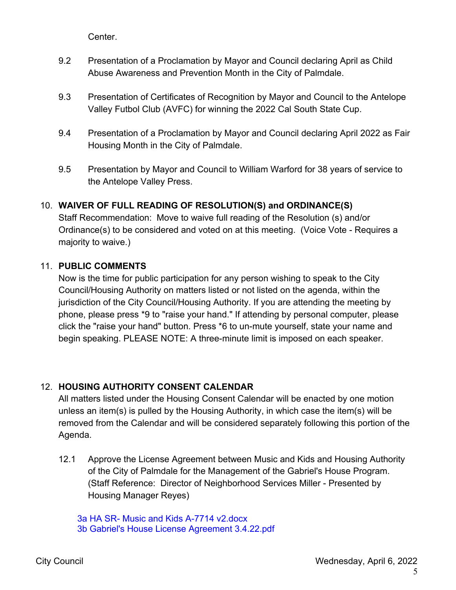Center.

- 9.2 Presentation of a Proclamation by Mayor and Council declaring April as Child Abuse Awareness and Prevention Month in the City of Palmdale.
- 9.3 Presentation of Certificates of Recognition by Mayor and Council to the Antelope Valley Futbol Club (AVFC) for winning the 2022 Cal South State Cup.
- 9.4 Presentation of a Proclamation by Mayor and Council declaring April 2022 as Fair Housing Month in the City of Palmdale.
- 9.5 Presentation by Mayor and Council to William Warford for 38 years of service to the Antelope Valley Press.

# 10. **WAIVER OF FULL READING OF RESOLUTION(S) and ORDINANCE(S)**

Staff Recommendation: Move to waive full reading of the Resolution (s) and/or Ordinance(s) to be considered and voted on at this meeting. (Voice Vote - Requires a majority to waive.)

## 11. **PUBLIC COMMENTS**

Now is the time for public participation for any person wishing to speak to the City Council/Housing Authority on matters listed or not listed on the agenda, within the jurisdiction of the City Council/Housing Authority. If you are attending the meeting by phone, please press \*9 to "raise your hand." If attending by personal computer, please click the "raise your hand" button. Press \*6 to un-mute yourself, state your name and begin speaking. PLEASE NOTE: A three-minute limit is imposed on each speaker.

## 12. **HOUSING AUTHORITY CONSENT CALENDAR**

All matters listed under the Housing Consent Calendar will be enacted by one motion unless an item(s) is pulled by the Housing Authority, in which case the item(s) will be removed from the Calendar and will be considered separately following this portion of the Agenda.

- 12.1 Approve the License Agreement between Music and Kids and Housing Authority of the City of Palmdale for the Management of the Gabriel's House Program. (Staff Reference: Director of Neighborhood Services Miller - Presented by Housing Manager Reyes)
	- 3a HA SR- Music and Kids A-7714 [v2.docx](https://legistarweb-production.s3.amazonaws.com/uploads/attachment/pdf/1292826/3a_HA_SR-_Music_and_Kids_A-7714_v2.pdf) 3b Gabriel's House License [Agreement](https://legistarweb-production.s3.amazonaws.com/uploads/attachment/pdf/1283270/3b_Gabriel_s_House_License_Agreement_3.4.22.pdf) 3.4.22.pdf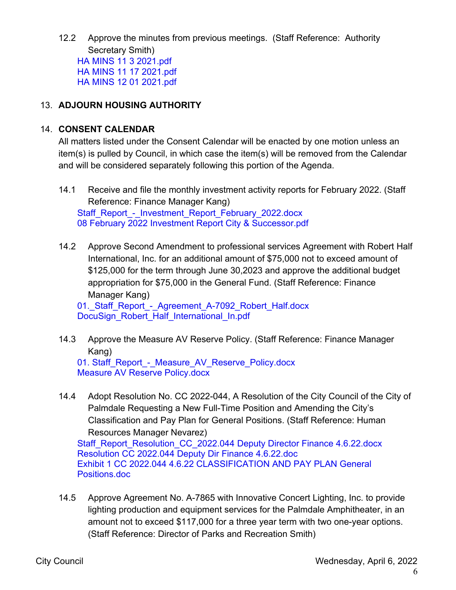12.2 Approve the minutes from previous meetings. (Staff Reference: Authority Secretary Smith) HA MINS 11 3 [2021.pdf](https://legistarweb-production.s3.amazonaws.com/uploads/attachment/pdf/1300554/HA_MINS_11_3_2021.pdf) HA MINS 11 17 [2021.pdf](https://legistarweb-production.s3.amazonaws.com/uploads/attachment/pdf/1300555/HA_MINS_11_17_2021.pdf) HA MINS 12 01 [2021.pdf](https://legistarweb-production.s3.amazonaws.com/uploads/attachment/pdf/1300556/HA_MINS_12_01_2021.pdf)

## 13. **ADJOURN HOUSING AUTHORITY**

### 14. **CONSENT CALENDAR**

All matters listed under the Consent Calendar will be enacted by one motion unless an item(s) is pulled by Council, in which case the item(s) will be removed from the Calendar and will be considered separately following this portion of the Agenda.

- 14.1 Receive and file the monthly investment activity reports for February 2022. (Staff Reference: Finance Manager Kang) [Staff\\_Report\\_-\\_Investment\\_Report\\_February\\_2022.docx](https://legistarweb-production.s3.amazonaws.com/uploads/attachment/pdf/1295167/Staff_Report_-_Investment_Report_February_2022.pdf) 08 February 2022 Investment Report City & [Successor.pdf](https://legistarweb-production.s3.amazonaws.com/uploads/attachment/pdf/1295168/08_February_2022_Investment_Report_City___Successor.pdf)
- 14.2 Approve Second Amendment to professional services Agreement with Robert Half International, Inc. for an additional amount of \$75,000 not to exceed amount of \$125,000 for the term through June 30,2023 and approve the additional budget appropriation for \$75,000 in the General Fund. (Staff Reference: Finance Manager Kang)

01. Staff Report - Agreement A-7092 Robert Half.docx [DocuSign\\_Robert\\_Half\\_International\\_In.pdf](https://legistarweb-production.s3.amazonaws.com/uploads/attachment/pdf/1296491/DocuSign_Robert_Half_International_In.pdf)

14.3 Approve the Measure AV Reserve Policy. (Staff Reference: Finance Manager Kang)

01. Staff Report - Measure AV Reserve Policy.docx Measure AV Reserve [Policy.docx](https://legistarweb-production.s3.amazonaws.com/uploads/attachment/pdf/1290430/Measure_AV_Reserve_Policy.pdf)

14.4 Adopt Resolution No. CC 2022-044, A Resolution of the City Council of the City of Palmdale Requesting a New Full-Time Position and Amending the City's Classification and Pay Plan for General Positions. (Staff Reference: Human Resources Manager Nevarez)

[Staff\\_Report\\_Resolution\\_CC\\_2022.044](https://legistarweb-production.s3.amazonaws.com/uploads/attachment/pdf/1310911/Staff_Report_Resolution_CC_2022.044__Deputy_Director_Finance_4.6.22.pdf) Deputy Director Finance 4.6.22.docx [Resolution](https://legistarweb-production.s3.amazonaws.com/uploads/attachment/pdf/1307134/Resolution_CC_2022.044_Deputy_Dir_Finance___4.6.22.pdf) CC 2022.044 Deputy Dir Finance 4.6.22.doc Exhibit 1 CC 2022.044 4.6.22 [CLASSIFICATION](https://legistarweb-production.s3.amazonaws.com/uploads/attachment/pdf/1307135/Exhibit_1_CC_2022.044_4.6.22_CLASSIFICATION_AND_PAY_PLAN_General_Positions.pdf) AND PAY PLAN General Positions.doc

14.5 Approve Agreement No. A-7865 with Innovative Concert Lighting, Inc. to provide lighting production and equipment services for the Palmdale Amphitheater, in an amount not to exceed \$117,000 for a three year term with two one-year options. (Staff Reference: Director of Parks and Recreation Smith)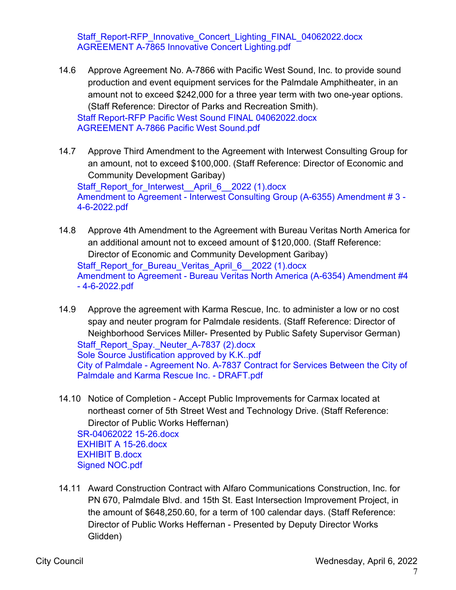[Staff\\_Report-RFP\\_Innovative\\_Concert\\_Lighting\\_FINAL\\_04062022.docx](https://legistarweb-production.s3.amazonaws.com/uploads/attachment/pdf/1291000/Staff_Report-RFP_Innovative_Concert_Lighting_FINAL_04062022.pdf) [AGREEMENT](https://legistarweb-production.s3.amazonaws.com/uploads/attachment/pdf/1287980/AGREEMENT_A-7865_Innovative_Concert_Lighting.pdf) A-7865 Innovative Concert Lighting.pdf

- 14.6 Approve Agreement No. A-7866 with Pacific West Sound, Inc. to provide sound production and event equipment services for the Palmdale Amphitheater, in an amount not to exceed \$242,000 for a three year term with two one-year options. (Staff Reference: Director of Parks and Recreation Smith). Staff Report-RFP Pacific West Sound FINAL [04062022.docx](https://legistarweb-production.s3.amazonaws.com/uploads/attachment/pdf/1289978/Staff_Report-RFP_Pacific_West_Sound_FINAL_04062022.pdf) [AGREEMENT](https://legistarweb-production.s3.amazonaws.com/uploads/attachment/pdf/1288650/AGREEMENT_A-7866_Pacific_West_Sound.pdf) A-7866 Pacific West Sound.pdf
- 14.7 Approve Third Amendment to the Agreement with Interwest Consulting Group for an amount, not to exceed \$100,000. (Staff Reference: Director of Economic and Community Development Garibay) [Staff\\_Report\\_for\\_Interwest\\_\\_April\\_6\\_\\_2022](https://legistarweb-production.s3.amazonaws.com/uploads/attachment/pdf/1291441/Staff_Report_for_Interwest__April_6__2022__1_.pdf) (1).docx Amendment to Agreement - Interwest Consulting Group (A-6355) Amendment #3 -[4-6-2022.pdf](https://legistarweb-production.s3.amazonaws.com/uploads/attachment/pdf/1287718/Amendment_to_Agreement_-_Interwest_Consulting_Group__A-6355__Amendment___3_-_4-6-2022.pdf)
- 14.8 Approve 4th Amendment to the Agreement with Bureau Veritas North America for an additional amount not to exceed amount of \$120,000. (Staff Reference: Director of Economic and Community Development Garibay) [Staff\\_Report\\_for\\_Bureau\\_Veritas\\_April\\_6\\_\\_2022](https://legistarweb-production.s3.amazonaws.com/uploads/attachment/pdf/1291421/Staff_Report_for_Bureau_Veritas_April_6__2022__1_.pdf) (1).docx Amendment to Agreement - Bureau Veritas North America (A-6354) Amendment #4 - [4-6-2022.pdf](https://legistarweb-production.s3.amazonaws.com/uploads/attachment/pdf/1287716/Amendment_to_Agreement_-_Bureau_Veritas_North_America__A-6354__Amendment__4_-_4-6-2022.pdf)
- 14.9 Approve the agreement with Karma Rescue, Inc. to administer a low or no cost spay and neuter program for Palmdale residents. (Staff Reference: Director of Neighborhood Services Miller- Presented by Public Safety Supervisor German) [Staff\\_Report\\_Spay.\\_Neuter\\_A-7837](https://legistarweb-production.s3.amazonaws.com/uploads/attachment/pdf/1305896/Staff_Report_Spay._Neuter_A-7837__2_.pdf) (2).docx Sole Source [Justification](https://legistarweb-production.s3.amazonaws.com/uploads/attachment/pdf/1301989/Sole_Source_Justification_approved_by_K.K..pdf) approved by K.K..pdf City of Palmdale - Agreement No. A-7837 Contract for Services Between the City of Palmdale and Karma Rescue Inc. - [DRAFT.pdf](https://legistarweb-production.s3.amazonaws.com/uploads/attachment/pdf/1308909/City_of_Palmdale_-_Agreement_No._A-7837_Contract_for_Services_Between_the_City_of_Palmdale_and_Karma_Rescue_Inc._-_DRAFT.pdf)
- 14.10 Notice of Completion Accept Public Improvements for Carmax located at northeast corner of 5th Street West and Technology Drive. (Staff Reference: Director of Public Works Heffernan) [SR-04062022](https://legistarweb-production.s3.amazonaws.com/uploads/attachment/pdf/1287335/SR-04062022_15-26.pdf) 15-26.docx EXHIBIT A [15-26.docx](https://legistarweb-production.s3.amazonaws.com/uploads/attachment/pdf/1287336/EXHIBIT_A_15-26.pdf) [EXHIBIT](https://legistarweb-production.s3.amazonaws.com/uploads/attachment/pdf/1287337/EXHIBIT_B.pdf) B.docx Signed [NOC.pdf](https://legistarweb-production.s3.amazonaws.com/uploads/attachment/pdf/1287338/Signed_NOC.pdf)
- 14.11 Award Construction Contract with Alfaro Communications Construction, Inc. for PN 670, Palmdale Blvd. and 15th St. East Intersection Improvement Project, in the amount of \$648,250.60, for a term of 100 calendar days. (Staff Reference: Director of Public Works Heffernan - Presented by Deputy Director Works Glidden)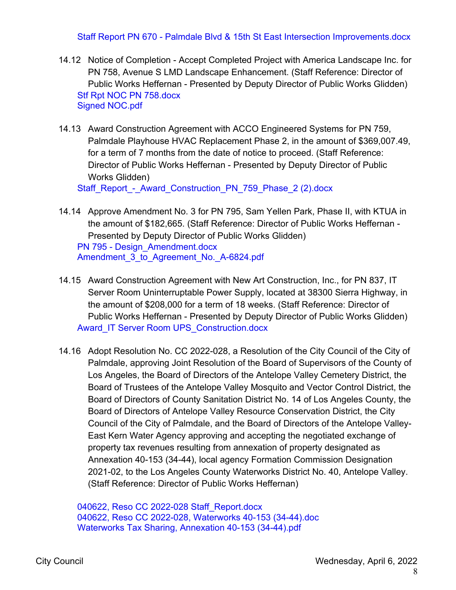### Staff Report PN 670 - Palmdale Blvd & 15th St East Intersection [Improvements.docx](https://legistarweb-production.s3.amazonaws.com/uploads/attachment/pdf/1300543/Staff_Report_PN_670_-_Palmdale_Blvd___15th_St_East_Intersection_Improvements.pdf)

- 14.12 Notice of Completion Accept Completed Project with America Landscape Inc. for PN 758, Avenue S LMD Landscape Enhancement. (Staff Reference: Director of Public Works Heffernan - Presented by Deputy Director of Public Works Glidden) Stf Rpt NOC PN [758.docx](https://legistarweb-production.s3.amazonaws.com/uploads/attachment/pdf/1287372/Stf_Rpt_NOC_PN_758.pdf) Signed [NOC.pdf](https://legistarweb-production.s3.amazonaws.com/uploads/attachment/pdf/1287373/Signed_NOC.pdf)
- 14.13 Award Construction Agreement with ACCO Engineered Systems for PN 759, Palmdale Playhouse HVAC Replacement Phase 2, in the amount of \$369,007.49, for a term of 7 months from the date of notice to proceed. (Staff Reference: Director of Public Works Heffernan - Presented by Deputy Director of Public Works Glidden)

[Staff\\_Report\\_-\\_Award\\_Construction\\_PN\\_759\\_Phase\\_2](https://legistarweb-production.s3.amazonaws.com/uploads/attachment/pdf/1288550/Staff_Report_-_Award_Construction_PN_759_Phase_2__2_.pdf) (2).docx

- 14.14 Approve Amendment No. 3 for PN 795, Sam Yellen Park, Phase II, with KTUA in the amount of \$182,665. (Staff Reference: Director of Public Works Heffernan - Presented by Deputy Director of Public Works Glidden) PN 795 - [Design\\_Amendment.docx](https://legistarweb-production.s3.amazonaws.com/uploads/attachment/pdf/1305844/PN_795_-_Design_Amendment.pdf) [Amendment\\_3\\_to\\_Agreement\\_No.\\_A-6824.pdf](https://legistarweb-production.s3.amazonaws.com/uploads/attachment/pdf/1310964/Amendment_3_to_Agreement_No._A-6824.pdf)
- 14.15 Award Construction Agreement with New Art Construction, Inc., for PN 837, IT Server Room Uninterruptable Power Supply, located at 38300 Sierra Highway, in the amount of \$208,000 for a term of 18 weeks. (Staff Reference: Director of Public Works Heffernan - Presented by Deputy Director of Public Works Glidden) Award\_IT Server Room [UPS\\_Construction.docx](https://legistarweb-production.s3.amazonaws.com/uploads/attachment/pdf/1300608/Award_IT_Server_Room_UPS_Construction.pdf)
- 14.16 Adopt Resolution No. CC 2022-028, a Resolution of the City Council of the City of Palmdale, approving Joint Resolution of the Board of Supervisors of the County of Los Angeles, the Board of Directors of the Antelope Valley Cemetery District, the Board of Trustees of the Antelope Valley Mosquito and Vector Control District, the Board of Directors of County Sanitation District No. 14 of Los Angeles County, the Board of Directors of Antelope Valley Resource Conservation District, the City Council of the City of Palmdale, and the Board of Directors of the Antelope Valley-East Kern Water Agency approving and accepting the negotiated exchange of property tax revenues resulting from annexation of property designated as Annexation 40-153 (34-44), local agency Formation Commission Designation 2021-02, to the Los Angeles County Waterworks District No. 40, Antelope Valley. (Staff Reference: Director of Public Works Heffernan)

040622, Reso CC 2022-028 [Staff\\_Report.docx](https://legistarweb-production.s3.amazonaws.com/uploads/attachment/pdf/1287911/040622__Reso_CC_2022-028_Staff_Report.pdf) 040622, Reso CC 2022-028, [Waterworks](https://legistarweb-production.s3.amazonaws.com/uploads/attachment/pdf/1287912/040622__Reso_CC_2022-028__Waterworks_40-153__34-44_.pdf) 40-153 (34-44).doc [Waterworks](https://legistarweb-production.s3.amazonaws.com/uploads/attachment/pdf/1287913/Waterworks_Tax_Sharing__Annexation_40-153__34-44_.pdf) Tax Sharing, Annexation 40-153 (34-44).pdf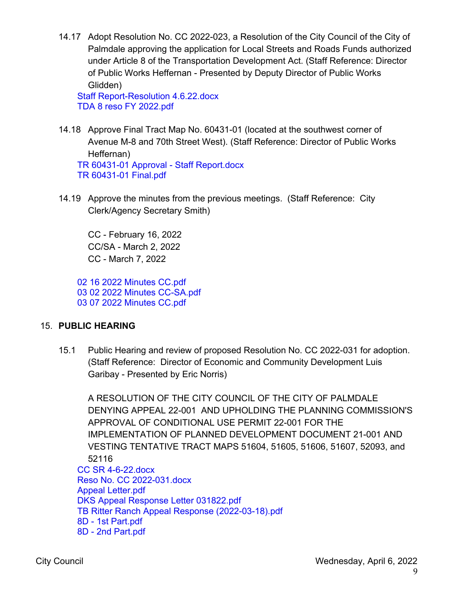14.17 Adopt Resolution No. CC 2022-023, a Resolution of the City Council of the City of Palmdale approving the application for Local Streets and Roads Funds authorized under Article 8 of the Transportation Development Act. (Staff Reference: Director of Public Works Heffernan - Presented by Deputy Director of Public Works Glidden)

Staff [Report-Resolution](https://legistarweb-production.s3.amazonaws.com/uploads/attachment/pdf/1288746/Staff_Report-Resolution_4.6.22.pdf) 4.6.22.docx TDA 8 reso FY [2022.pdf](https://legistarweb-production.s3.amazonaws.com/uploads/attachment/pdf/1288747/TDA_8_reso_FY_2022.pdf)

- 14.18 Approve Final Tract Map No. 60431-01 (located at the southwest corner of Avenue M-8 and 70th Street West). (Staff Reference: Director of Public Works Heffernan) TR 60431-01 Approval - Staff [Report.docx](https://legistarweb-production.s3.amazonaws.com/uploads/attachment/pdf/1288415/TR_60431-01_Approval_-_Staff_Report.pdf) TR [60431-01](https://legistarweb-production.s3.amazonaws.com/uploads/attachment/pdf/1287904/TR_60431-01_Final.pdf) Final.pdf
- 14.19 Approve the minutes from the previous meetings. (Staff Reference: City Clerk/Agency Secretary Smith)

CC - February 16, 2022 CC/SA - March 2, 2022 CC - March 7, 2022

02 16 2022 [Minutes](https://legistarweb-production.s3.amazonaws.com/uploads/attachment/pdf/1311088/02_16_2022_Minutes_CC.pdf) CC.pdf 03 02 2022 Minutes [CC-SA.pdf](https://legistarweb-production.s3.amazonaws.com/uploads/attachment/pdf/1311158/03_02_2022_Minutes_CC-SA.pdf) 03 07 2022 [Minutes](https://legistarweb-production.s3.amazonaws.com/uploads/attachment/pdf/1311034/03_07_2022_Minutes_CC.pdf) CC.pdf

## 15. **PUBLIC HEARING**

15.1 Public Hearing and review of proposed Resolution No. CC 2022-031 for adoption. (Staff Reference: Director of Economic and Community Development Luis Garibay - Presented by Eric Norris)

A RESOLUTION OF THE CITY COUNCIL OF THE CITY OF PALMDALE DENYING APPEAL 22-001 AND UPHOLDING THE PLANNING COMMISSION'S APPROVAL OF CONDITIONAL USE PERMIT 22-001 FOR THE IMPLEMENTATION OF PLANNED DEVELOPMENT DOCUMENT 21-001 AND VESTING TENTATIVE TRACT MAPS 51604, 51605, 51606, 51607, 52093, and 52116 CC SR [4-6-22.docx](https://legistarweb-production.s3.amazonaws.com/uploads/attachment/pdf/1297610/CC_SR_4-6-22.pdf) Reso No. CC [2022-031.docx](https://legistarweb-production.s3.amazonaws.com/uploads/attachment/pdf/1294393/Reso_No._CC_2022-031.pdf) Appeal [Letter.pdf](https://legistarweb-production.s3.amazonaws.com/uploads/attachment/pdf/1294396/Appeal_Letter.pdf) DKS Appeal Response Letter [031822.pdf](https://legistarweb-production.s3.amazonaws.com/uploads/attachment/pdf/1297607/DKS_Appeal_Response_Letter_031822.pdf) TB Ritter Ranch Appeal Response [\(2022-03-18\).pdf](https://legistarweb-production.s3.amazonaws.com/uploads/attachment/pdf/1297608/TB_Ritter_Ranch_Appeal_Response__2022-03-18_.pdf) 8D - 1st [Part.pdf](https://legistarweb-production.s3.amazonaws.com/uploads/attachment/pdf/1294402/8D_-_1st_Part.pdf) 8D - 2nd [Part.pdf](https://legistarweb-production.s3.amazonaws.com/uploads/attachment/pdf/1294403/8D_-_2nd_Part.pdf)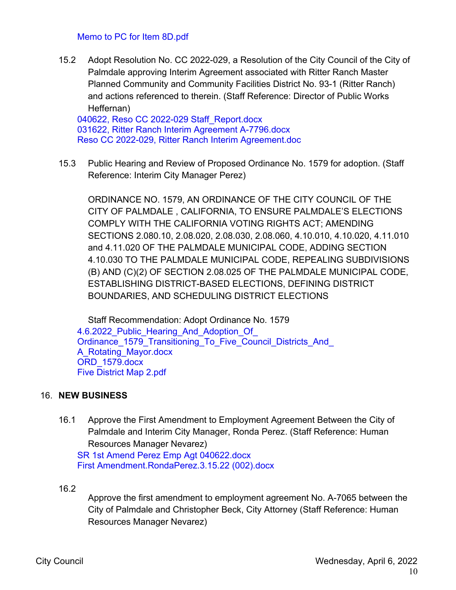#### Memo to PC for Item [8D.pdf](https://legistarweb-production.s3.amazonaws.com/uploads/attachment/pdf/1294415/Memo_to_PC_for_Item_8D.pdf)

15.2 Adopt Resolution No. CC 2022-029, a Resolution of the City Council of the City of Palmdale approving Interim Agreement associated with Ritter Ranch Master Planned Community and Community Facilities District No. 93-1 (Ritter Ranch) and actions referenced to therein. (Staff Reference: Director of Public Works Heffernan)

040622, Reso CC 2022-029 Staff Report.docx 031622, Ritter Ranch Interim Agreement [A-7796.docx](https://legistarweb-production.s3.amazonaws.com/uploads/attachment/pdf/1276000/031622__Ritter_Ranch_Interim_Agreement_A-7796.pdf) Reso CC 2022-029, Ritter Ranch Interim [Agreement.doc](https://legistarweb-production.s3.amazonaws.com/uploads/attachment/pdf/1287261/Reso_CC_2022-029__Ritter_Ranch_Interim_Agreement.pdf)

15.3 Public Hearing and Review of Proposed Ordinance No. 1579 for adoption. (Staff Reference: Interim City Manager Perez)

ORDINANCE NO. 1579, AN ORDINANCE OF THE CITY COUNCIL OF THE CITY OF PALMDALE , CALIFORNIA, TO ENSURE PALMDALE'S ELECTIONS COMPLY WITH THE CALIFORNIA VOTING RIGHTS ACT; AMENDING SECTIONS 2.080.10, 2.08.020, 2.08.030, 2.08.060, 4.10.010, 4.10.020, 4.11.010 and 4.11.020 OF THE PALMDALE MUNICIPAL CODE, ADDING SECTION 4.10.030 TO THE PALMDALE MUNICIPAL CODE, REPEALING SUBDIVISIONS (B) AND (C)(2) OF SECTION 2.08.025 OF THE PALMDALE MUNICIPAL CODE, ESTABLISHING DISTRICT-BASED ELECTIONS, DEFINING DISTRICT BOUNDARIES, AND SCHEDULING DISTRICT ELECTIONS

Staff Recommendation: Adopt Ordinance No. 1579 4.6.2022 Public Hearing And Adoption Of Ordinance 1579 Transitioning To Five Council Districts And A\_Rotating\_Mayor.docx ORD 1579.docx Five [District](https://legistarweb-production.s3.amazonaws.com/uploads/attachment/pdf/1310810/Five_District_Map_2.pdf) Map 2.pdf

### 16. **NEW BUSINESS**

16.1 Approve the First Amendment to Employment Agreement Between the City of Palmdale and Interim City Manager, Ronda Perez. (Staff Reference: Human Resources Manager Nevarez) SR 1st Amend Perez Emp Agt [040622.docx](https://legistarweb-production.s3.amazonaws.com/uploads/attachment/pdf/1307376/SR_1st_Amend_Perez_Emp_Agt_040622.pdf) First [Amendment.RondaPerez.3.15.22](https://legistarweb-production.s3.amazonaws.com/uploads/attachment/pdf/1310054/First_Amendment.RondaPerez.3.15.22__002_.pdf) (002).docx

### 16.2

Approve the first amendment to employment agreement No. A-7065 between the City of Palmdale and Christopher Beck, City Attorney (Staff Reference: Human Resources Manager Nevarez)